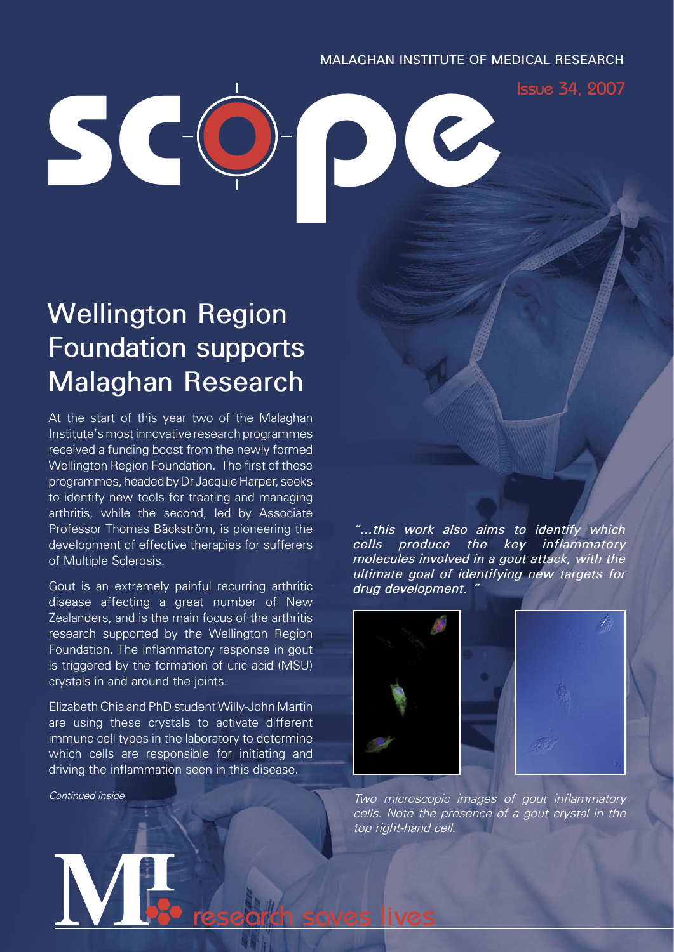### **MALAGHAN INSTITUTE OF MEDICAL RESEARCH**

Issue 34, 2007

# **Wellington Region Foundation supports Malaghan Research**

**������**

At the start of this year two of the Malaghan Institute's most innovative research programmes received a funding boost from the newly formed Wellington Region Foundation. The first of these programmes, headed by Dr Jacquie Harper, seeks to identify new tools for treating and managing arthritis, while the second, led by Associate Professor Thomas Bäckström, is pioneering the development of effective therapies for sufferers of Multiple Sclerosis.

Gout is an extremely painful recurring arthritic disease affecting a great number of New Zealanders, and is the main focus of the arthritis research supported by the Wellington Region Foundation. The inflammatory response in gout is triggered by the formation of uric acid (MSU) crystals in and around the joints.

Elizabeth Chia and PhD student Willy-John Martin are using these crystals to activate different immune cell types in the laboratory to determine which cells are responsible for initiating and driving the inflammation seen in this disease.

research saves lives

*Continued inside*

*"...this work also aims to identify which cells produce the key inflammatory molecules involved in a gout attack, with the ultimate goal of identifying new targets for drug development. "*



*Two microscopic images of gout inflammatory cells. Note the presence of a gout crystal in the top right-hand cell.*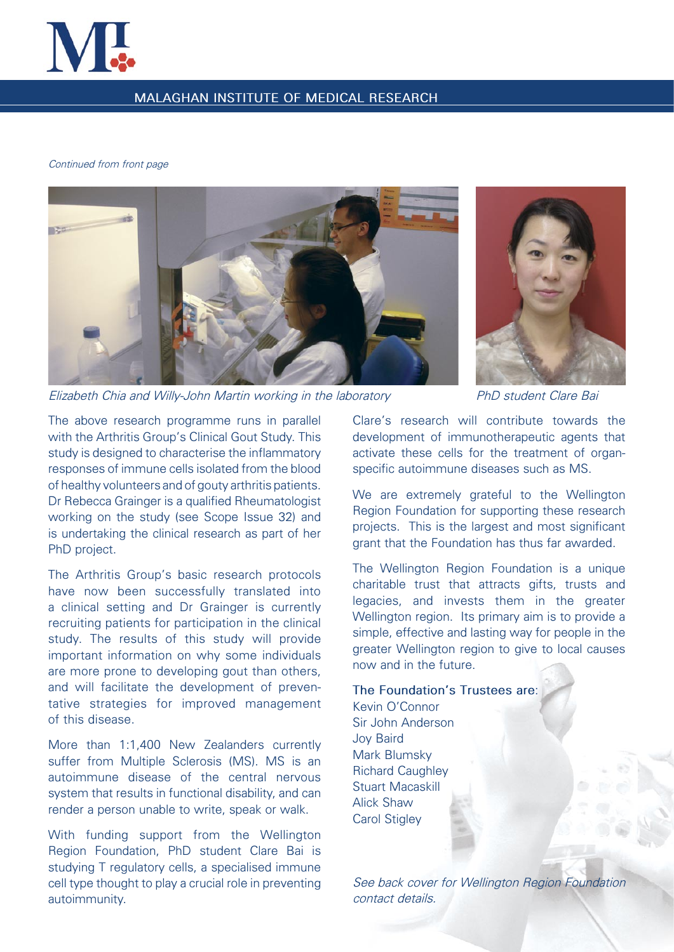

### **MALAGHAN INSTITUTE OF MEDICAL RESEARCH**

#### *Continued from front page*



*Elizabeth Chia and Willy-John Martin working in the laboratory PhD student Clare Bai*



The above research programme runs in parallel with the Arthritis Group's Clinical Gout Study. This study is designed to characterise the inflammatory responses of immune cells isolated from the blood of healthy volunteers and of gouty arthritis patients. Dr Rebecca Grainger is a qualified Rheumatologist working on the study (see Scope Issue 32) and is undertaking the clinical research as part of her PhD project.

The Arthritis Group's basic research protocols have now been successfully translated into a clinical setting and Dr Grainger is currently recruiting patients for participation in the clinical study. The results of this study will provide important information on why some individuals are more prone to developing gout than others, and will facilitate the development of preventative strategies for improved management of this disease.

More than 1:1,400 New Zealanders currently suffer from Multiple Sclerosis (MS). MS is an autoimmune disease of the central nervous system that results in functional disability, and can render a person unable to write, speak or walk.

With funding support from the Wellington Region Foundation, PhD student Clare Bai is studying T regulatory cells, a specialised immune cell type thought to play a crucial role in preventing autoimmunity.

Clare's research will contribute towards the development of immunotherapeutic agents that activate these cells for the treatment of organspecific autoimmune diseases such as MS.

We are extremely grateful to the Wellington Region Foundation for supporting these research projects. This is the largest and most significant grant that the Foundation has thus far awarded.

The Wellington Region Foundation is a unique charitable trust that attracts gifts, trusts and legacies, and invests them in the greater Wellington region. Its primary aim is to provide a simple, effective and lasting way for people in the greater Wellington region to give to local causes now and in the future.

### **The Foundation's Trustees are**:

Kevin O'Connor Sir John Anderson Joy Baird Mark Blumsky Richard Caughley Stuart Macaskill Alick Shaw Carol Stigley

*See back cover for Wellington Region Foundation contact details.*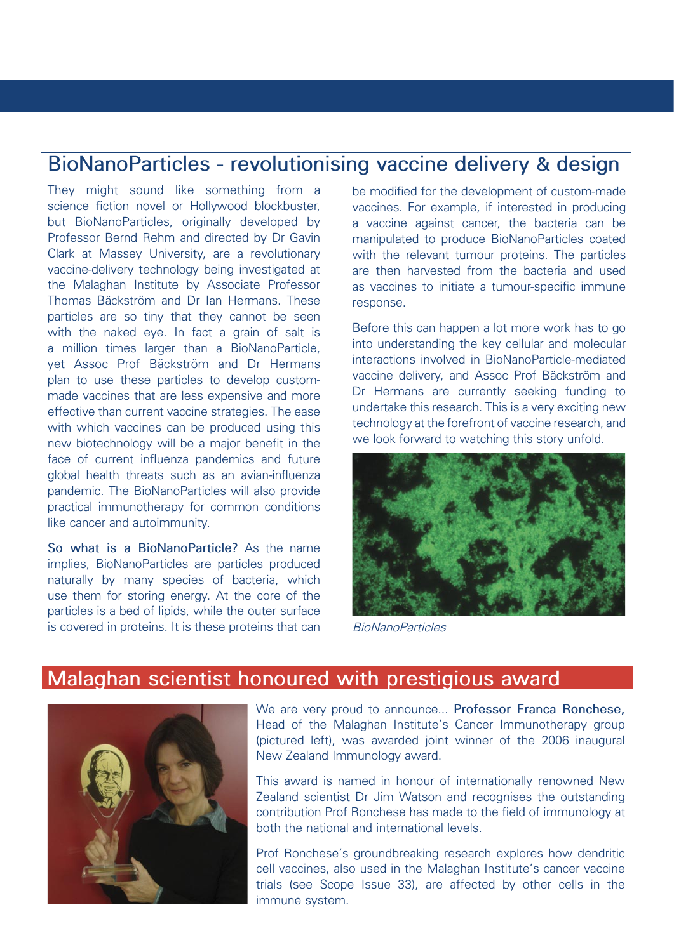## **BioNanoParticles - revolutionising vaccine delivery & design**

They might sound like something from a science fiction novel or Hollywood blockbuster, but BioNanoParticles, originally developed by Professor Bernd Rehm and directed by Dr Gavin Clark at Massey University, are a revolutionary vaccine-delivery technology being investigated at the Malaghan Institute by Associate Professor Thomas Bäckström and Dr Ian Hermans. These particles are so tiny that they cannot be seen with the naked eye. In fact a grain of salt is a million times larger than a BioNanoParticle, yet Assoc Prof Bäckström and Dr Hermans plan to use these particles to develop custommade vaccines that are less expensive and more effective than current vaccine strategies. The ease with which vaccines can be produced using this new biotechnology will be a major benefit in the face of current influenza pandemics and future global health threats such as an avian-influenza pandemic. The BioNanoParticles will also provide practical immunotherapy for common conditions like cancer and autoimmunity.

**So what is a BioNanoParticle?** As the name implies, BioNanoParticles are particles produced naturally by many species of bacteria, which use them for storing energy. At the core of the particles is a bed of lipids, while the outer surface is covered in proteins. It is these proteins that can be modified for the development of custom-made vaccines. For example, if interested in producing a vaccine against cancer, the bacteria can be manipulated to produce BioNanoParticles coated with the relevant tumour proteins. The particles are then harvested from the bacteria and used as vaccines to initiate a tumour-specific immune response.

Before this can happen a lot more work has to go into understanding the key cellular and molecular interactions involved in BioNanoParticle-mediated vaccine delivery, and Assoc Prof Bäckström and Dr Hermans are currently seeking funding to undertake this research. This is a very exciting new technology at the forefront of vaccine research, and we look forward to watching this story unfold.



*BioNanoParticles* 

## **Malaghan scientist honoured with prestigious award**



We are very proud to announce... **Professor Franca Ronchese,** Head of the Malaghan Institute's Cancer Immunotherapy group (pictured left), was awarded joint winner of the 2006 inaugural New Zealand Immunology award.

This award is named in honour of internationally renowned New Zealand scientist Dr Jim Watson and recognises the outstanding contribution Prof Ronchese has made to the field of immunology at both the national and international levels.

Prof Ronchese's groundbreaking research explores how dendritic cell vaccines, also used in the Malaghan Institute's cancer vaccine trials (see Scope Issue 33), are affected by other cells in the immune system.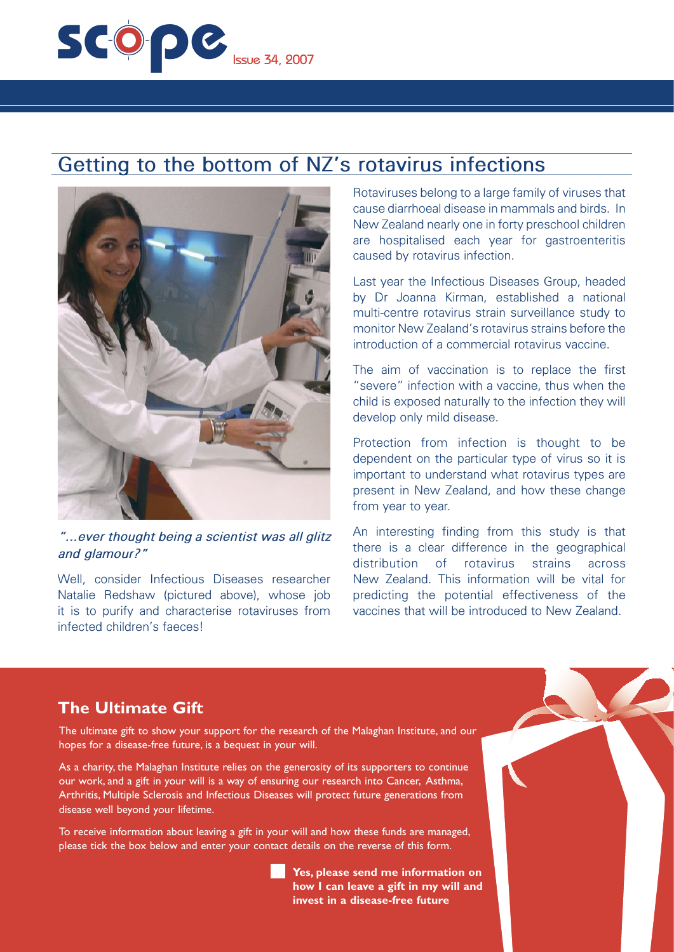

## **Getting to the bottom of NZ's rotavirus infections**



#### *"...ever thought being a scientist was all glitz and glamour?"*

Well, consider Infectious Diseases researcher Natalie Redshaw (pictured above), whose job it is to purify and characterise rotaviruses from infected children's faeces!

Rotaviruses belong to a large family of viruses that cause diarrhoeal disease in mammals and birds. In New Zealand nearly one in forty preschool children are hospitalised each year for gastroenteritis caused by rotavirus infection.

Last year the Infectious Diseases Group, headed by Dr Joanna Kirman, established a national multi-centre rotavirus strain surveillance study to monitor New Zealand's rotavirus strains before the introduction of a commercial rotavirus vaccine.

The aim of vaccination is to replace the first "severe" infection with a vaccine, thus when the child is exposed naturally to the infection they will develop only mild disease.

Protection from infection is thought to be dependent on the particular type of virus so it is important to understand what rotavirus types are present in New Zealand, and how these change from year to year.

An interesting finding from this study is that there is a clear difference in the geographical distribution of rotavirus strains across New Zealand. This information will be vital for predicting the potential effectiveness of the vaccines that will be introduced to New Zealand.

### **The Ultimate Gift**

The ultimate gift to show your support for the research of the Malaghan Institute, and our hopes for a disease-free future, is a bequest in your will.

As a charity, the Malaghan Institute relies on the generosity of its supporters to continue our work, and a gift in your will is a way of ensuring our research into Cancer, Asthma, Arthritis, Multiple Sclerosis and Infectious Diseases will protect future generations from disease well beyond your lifetime.

To receive information about leaving a gift in your will and how these funds are managed, please tick the box below and enter your contact details on the reverse of this form.

> **Yes, please send me information on how I can leave a gift in my will and invest in a disease-free future**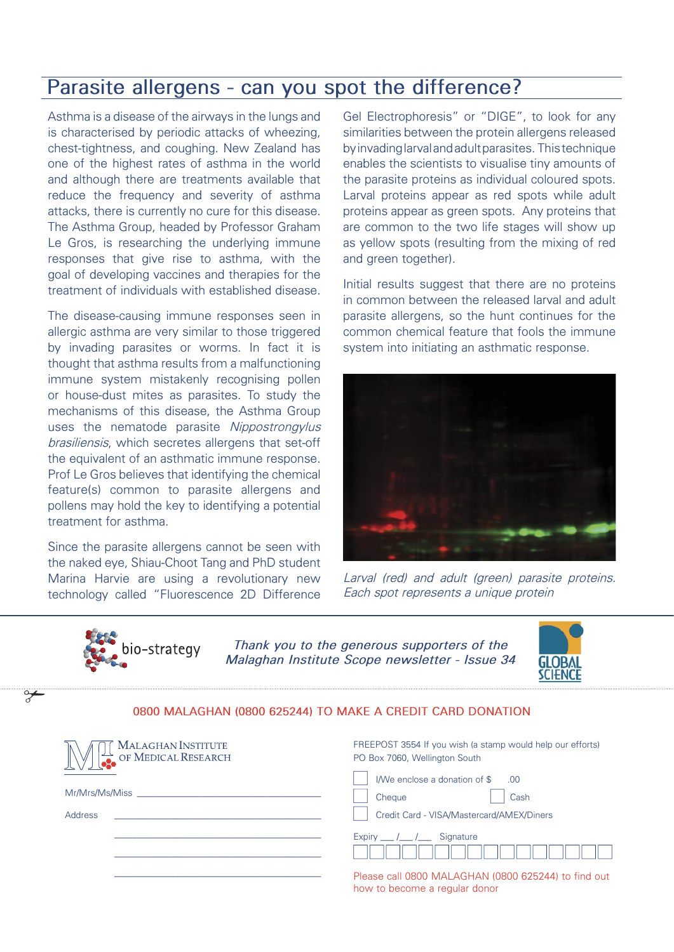## **Parasite allergens - can you spot the difference?**

Asthma is a disease of the airways in the lungs and is characterised by periodic attacks of wheezing, chest-tightness, and coughing. New Zealand has one of the highest rates of asthma in the world and although there are treatments available that reduce the frequency and severity of asthma attacks, there is currently no cure for this disease. The Asthma Group, headed by Professor Graham Le Gros, is researching the underlying immune responses that give rise to asthma, with the goal of developing vaccines and therapies for the treatment of individuals with established disease.

The disease-causing immune responses seen in allergic asthma are very similar to those triggered by invading parasites or worms. In fact it is thought that asthma results from a malfunctioning immune system mistakenly recognising pollen or house-dust mites as parasites. To study the mechanisms of this disease, the Asthma Group uses the nematode parasite *Nippostrongylus brasiliensis*, which secretes allergens that set-off the equivalent of an asthmatic immune response. Prof Le Gros believes that identifying the chemical feature(s) common to parasite allergens and pollens may hold the key to identifying a potential treatment for asthma.

Since the parasite allergens cannot be seen with the naked eye, Shiau-Choot Tang and PhD student Marina Harvie are using a revolutionary new technology called "Fluorescence 2D Difference

Gel Electrophoresis" or "DIGE", to look for any similarities between the protein allergens released by invading larval and adult parasites. This technique enables the scientists to visualise tiny amounts of the parasite proteins as individual coloured spots. Larval proteins appear as red spots while adult proteins appear as green spots. Any proteins that are common to the two life stages will show up as yellow spots (resulting from the mixing of red and green together).

Initial results suggest that there are no proteins in common between the released larval and adult parasite allergens, so the hunt continues for the common chemical feature that fools the immune system into initiating an asthmatic response.



*Larval (red) and adult (green) parasite proteins. Each spot represents a unique protein*



*Thank you to the generous supporters of the Malaghan Institute Scope newsletter - Issue 34*



#### **0800 MALAGHAN (0800 625244) TO MAKE A CREDIT CARD DONATION**

| MALAGHAN INSTITUTE<br>OF MEDICAL RESEARCH | FREEPOST 3554 If you wish (a stamp would help our efforts)<br>PO Box 7060, Wellington South |
|-------------------------------------------|---------------------------------------------------------------------------------------------|
|                                           | I/We enclose a donation of \$<br>.00.                                                       |
| Mr/Mrs/Ms/Miss                            | Cash<br>Cheque                                                                              |
| Address                                   | Credit Card - VISA/Mastercard/AMEX/Diners                                                   |
|                                           | Expiry $\frac{1}{\sqrt{2}}$<br>Signature                                                    |
|                                           | Please call 0800 MALAGHAN (0800 625244) to find out<br>how to become a regular donor        |